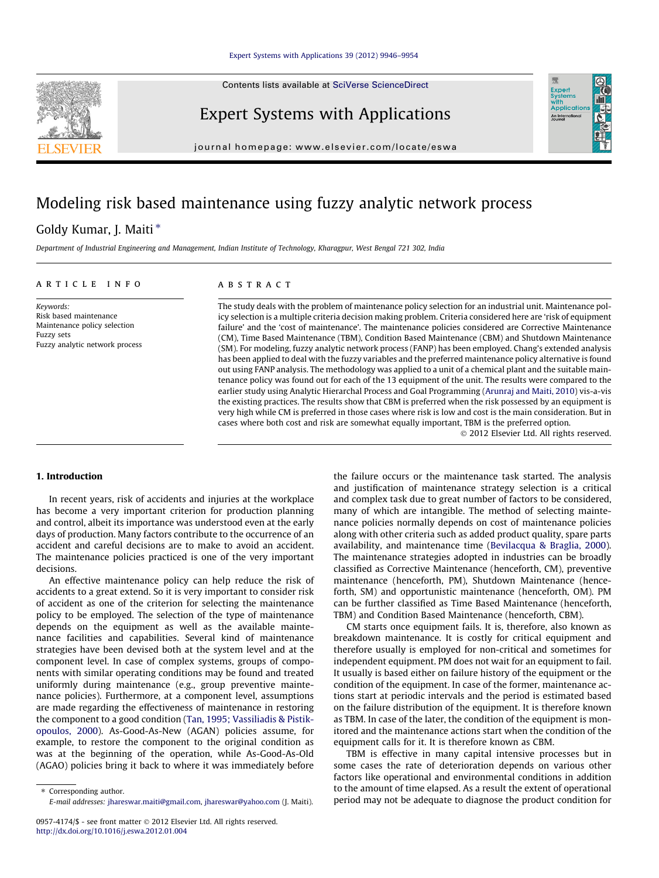Contents lists available at [SciVerse ScienceDirect](http://www.sciencedirect.com/science/journal/09574174)



Expert Systems with Applications

journal homepage: [www.elsevier.com/locate/eswa](http://www.elsevier.com/locate/eswa)

# Modeling risk based maintenance using fuzzy analytic network process

### Goldy Kumar, J. Maiti<sup>\*</sup>

Department of Industrial Engineering and Management, Indian Institute of Technology, Kharagpur, West Bengal 721 302, India

#### article info

Keywords: Risk based maintenance Maintenance policy selection Fuzzy sets Fuzzy analytic network process

### **ABSTRACT**

The study deals with the problem of maintenance policy selection for an industrial unit. Maintenance policy selection is a multiple criteria decision making problem. Criteria considered here are 'risk of equipment failure' and the 'cost of maintenance'. The maintenance policies considered are Corrective Maintenance (CM), Time Based Maintenance (TBM), Condition Based Maintenance (CBM) and Shutdown Maintenance (SM). For modeling, fuzzy analytic network process (FANP) has been employed. Chang's extended analysis has been applied to deal with the fuzzy variables and the preferred maintenance policy alternative is found out using FANP analysis. The methodology was applied to a unit of a chemical plant and the suitable maintenance policy was found out for each of the 13 equipment of the unit. The results were compared to the earlier study using Analytic Hierarchal Process and Goal Programming ([Arunraj and Maiti, 2010](#page--1-0)) vis-a-vis the existing practices. The results show that CBM is preferred when the risk possessed by an equipment is very high while CM is preferred in those cases where risk is low and cost is the main consideration. But in cases where both cost and risk are somewhat equally important, TBM is the preferred option.

- 2012 Elsevier Ltd. All rights reserved.

Exper<br>Syster wim<br>Applicatio An Inter

#### 1. Introduction

In recent years, risk of accidents and injuries at the workplace has become a very important criterion for production planning and control, albeit its importance was understood even at the early days of production. Many factors contribute to the occurrence of an accident and careful decisions are to make to avoid an accident. The maintenance policies practiced is one of the very important decisions.

An effective maintenance policy can help reduce the risk of accidents to a great extend. So it is very important to consider risk of accident as one of the criterion for selecting the maintenance policy to be employed. The selection of the type of maintenance depends on the equipment as well as the available maintenance facilities and capabilities. Several kind of maintenance strategies have been devised both at the system level and at the component level. In case of complex systems, groups of components with similar operating conditions may be found and treated uniformly during maintenance (e.g., group preventive maintenance policies). Furthermore, at a component level, assumptions are made regarding the effectiveness of maintenance in restoring the component to a good condition ([Tan, 1995; Vassiliadis & Pistik](#page--1-0)[opoulos, 2000](#page--1-0)). As-Good-As-New (AGAN) policies assume, for example, to restore the component to the original condition as was at the beginning of the operation, while As-Good-As-Old (AGAO) policies bring it back to where it was immediately before the failure occurs or the maintenance task started. The analysis and justification of maintenance strategy selection is a critical and complex task due to great number of factors to be considered, many of which are intangible. The method of selecting maintenance policies normally depends on cost of maintenance policies along with other criteria such as added product quality, spare parts availability, and maintenance time ([Bevilacqua & Braglia, 2000\)](#page--1-0). The maintenance strategies adopted in industries can be broadly classified as Corrective Maintenance (henceforth, CM), preventive maintenance (henceforth, PM), Shutdown Maintenance (henceforth, SM) and opportunistic maintenance (henceforth, OM). PM can be further classified as Time Based Maintenance (henceforth, TBM) and Condition Based Maintenance (henceforth, CBM).

CM starts once equipment fails. It is, therefore, also known as breakdown maintenance. It is costly for critical equipment and therefore usually is employed for non-critical and sometimes for independent equipment. PM does not wait for an equipment to fail. It usually is based either on failure history of the equipment or the condition of the equipment. In case of the former, maintenance actions start at periodic intervals and the period is estimated based on the failure distribution of the equipment. It is therefore known as TBM. In case of the later, the condition of the equipment is monitored and the maintenance actions start when the condition of the equipment calls for it. It is therefore known as CBM.

TBM is effective in many capital intensive processes but in some cases the rate of deterioration depends on various other factors like operational and environmental conditions in addition to the amount of time elapsed. As a result the extent of operational period may not be adequate to diagnose the product condition for

<sup>⇑</sup> Corresponding author. E-mail addresses: [jhareswar.maiti@gmail.com](mailto:jhareswar.maiti@gmail.com), [jhareswar@yahoo.com](mailto:jhareswar@yahoo.com) (J. Maiti).

<sup>0957-4174/\$ -</sup> see front matter © 2012 Elsevier Ltd. All rights reserved. <http://dx.doi.org/10.1016/j.eswa.2012.01.004>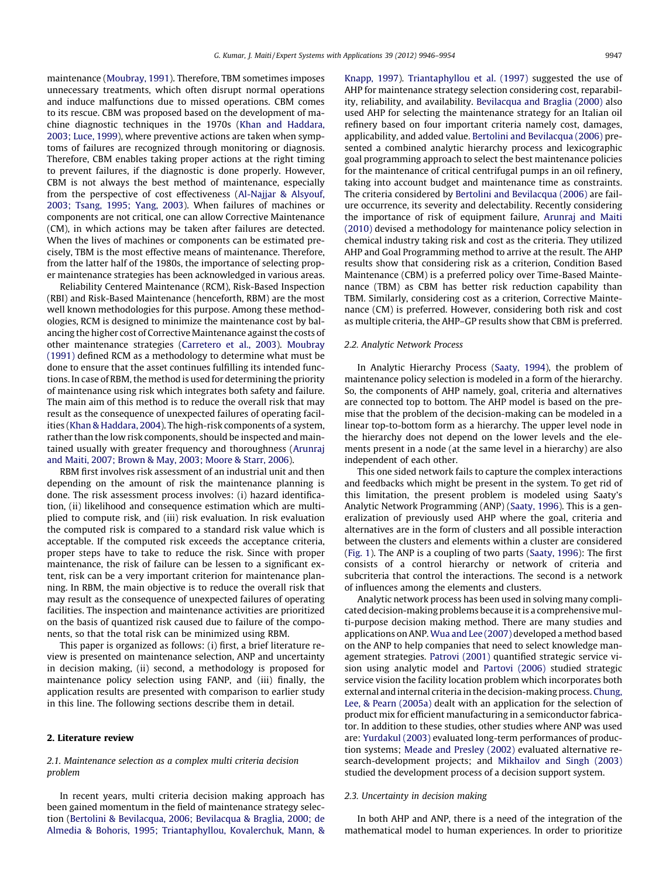maintenance [\(Moubray, 1991](#page--1-0)). Therefore, TBM sometimes imposes unnecessary treatments, which often disrupt normal operations and induce malfunctions due to missed operations. CBM comes to its rescue. CBM was proposed based on the development of machine diagnostic techniques in the 1970s ([Khan and Haddara,](#page--1-0) [2003; Luce, 1999](#page--1-0)), where preventive actions are taken when symptoms of failures are recognized through monitoring or diagnosis. Therefore, CBM enables taking proper actions at the right timing to prevent failures, if the diagnostic is done properly. However, CBM is not always the best method of maintenance, especially from the perspective of cost effectiveness [\(Al-Najjar & Alsyouf,](#page--1-0) [2003; Tsang, 1995; Yang, 2003\)](#page--1-0). When failures of machines or components are not critical, one can allow Corrective Maintenance (CM), in which actions may be taken after failures are detected. When the lives of machines or components can be estimated precisely, TBM is the most effective means of maintenance. Therefore, from the latter half of the 1980s, the importance of selecting proper maintenance strategies has been acknowledged in various areas.

Reliability Centered Maintenance (RCM), Risk-Based Inspection (RBI) and Risk-Based Maintenance (henceforth, RBM) are the most well known methodologies for this purpose. Among these methodologies, RCM is designed to minimize the maintenance cost by balancing the higher cost of Corrective Maintenance against the costs of other maintenance strategies ([Carretero et al., 2003](#page--1-0)). [Moubray](#page--1-0) [\(1991\)](#page--1-0) defined RCM as a methodology to determine what must be done to ensure that the asset continues fulfilling its intended functions. In case of RBM, the method is used for determining the priority of maintenance using risk which integrates both safety and failure. The main aim of this method is to reduce the overall risk that may result as the consequence of unexpected failures of operating facilities ([Khan & Haddara, 2004](#page--1-0)). The high-risk components of a system, rather than the low risk components, should be inspected and maintained usually with greater frequency and thoroughness ([Arunraj](#page--1-0) [and Maiti, 2007; Brown & May, 2003; Moore & Starr, 2006](#page--1-0)).

RBM first involves risk assessment of an industrial unit and then depending on the amount of risk the maintenance planning is done. The risk assessment process involves: (i) hazard identification, (ii) likelihood and consequence estimation which are multiplied to compute risk, and (iii) risk evaluation. In risk evaluation the computed risk is compared to a standard risk value which is acceptable. If the computed risk exceeds the acceptance criteria, proper steps have to take to reduce the risk. Since with proper maintenance, the risk of failure can be lessen to a significant extent, risk can be a very important criterion for maintenance planning. In RBM, the main objective is to reduce the overall risk that may result as the consequence of unexpected failures of operating facilities. The inspection and maintenance activities are prioritized on the basis of quantized risk caused due to failure of the components, so that the total risk can be minimized using RBM.

This paper is organized as follows: (i) first, a brief literature review is presented on maintenance selection, ANP and uncertainty in decision making, (ii) second, a methodology is proposed for maintenance policy selection using FANP, and (iii) finally, the application results are presented with comparison to earlier study in this line. The following sections describe them in detail.

#### 2. Literature review

#### 2.1. Maintenance selection as a complex multi criteria decision problem

In recent years, multi criteria decision making approach has been gained momentum in the field of maintenance strategy selection [\(Bertolini & Bevilacqua, 2006; Bevilacqua & Braglia, 2000; de](#page--1-0) [Almedia & Bohoris, 1995; Triantaphyllou, Kovalerchuk, Mann, &](#page--1-0) [Knapp, 1997](#page--1-0)). [Triantaphyllou et al. \(1997\)](#page--1-0) suggested the use of AHP for maintenance strategy selection considering cost, reparability, reliability, and availability. [Bevilacqua and Braglia \(2000\)](#page--1-0) also used AHP for selecting the maintenance strategy for an Italian oil refinery based on four important criteria namely cost, damages, applicability, and added value. [Bertolini and Bevilacqua \(2006\)](#page--1-0) presented a combined analytic hierarchy process and lexicographic goal programming approach to select the best maintenance policies for the maintenance of critical centrifugal pumps in an oil refinery, taking into account budget and maintenance time as constraints. The criteria considered by [Bertolini and Bevilacqua \(2006\)](#page--1-0) are failure occurrence, its severity and delectability. Recently considering the importance of risk of equipment failure, [Arunraj and Maiti](#page--1-0) [\(2010\)](#page--1-0) devised a methodology for maintenance policy selection in chemical industry taking risk and cost as the criteria. They utilized AHP and Goal Programming method to arrive at the result. The AHP results show that considering risk as a criterion, Condition Based Maintenance (CBM) is a preferred policy over Time-Based Maintenance (TBM) as CBM has better risk reduction capability than TBM. Similarly, considering cost as a criterion, Corrective Maintenance (CM) is preferred. However, considering both risk and cost as multiple criteria, the AHP–GP results show that CBM is preferred.

#### 2.2. Analytic Network Process

In Analytic Hierarchy Process [\(Saaty, 1994](#page--1-0)), the problem of maintenance policy selection is modeled in a form of the hierarchy. So, the components of AHP namely, goal, criteria and alternatives are connected top to bottom. The AHP model is based on the premise that the problem of the decision-making can be modeled in a linear top-to-bottom form as a hierarchy. The upper level node in the hierarchy does not depend on the lower levels and the elements present in a node (at the same level in a hierarchy) are also independent of each other.

This one sided network fails to capture the complex interactions and feedbacks which might be present in the system. To get rid of this limitation, the present problem is modeled using Saaty's Analytic Network Programming (ANP) [\(Saaty, 1996](#page--1-0)). This is a generalization of previously used AHP where the goal, criteria and alternatives are in the form of clusters and all possible interaction between the clusters and elements within a cluster are considered ([Fig. 1\)](#page--1-0). The ANP is a coupling of two parts [\(Saaty, 1996\)](#page--1-0): The first consists of a control hierarchy or network of criteria and subcriteria that control the interactions. The second is a network of influences among the elements and clusters.

Analytic network process has been used in solving many complicated decision-making problems because it is a comprehensive multi-purpose decision making method. There are many studies and applications on ANP.[Wua and Lee \(2007\)](#page--1-0) developed a method based on the ANP to help companies that need to select knowledge management strategies. [Patrovi \(2001\)](#page--1-0) quantified strategic service vision using analytic model and [Partovi \(2006\)](#page--1-0) studied strategic service vision the facility location problem which incorporates both external and internal criteria in the decision-making process. [Chung,](#page--1-0) [Lee, & Pearn \(2005a\)](#page--1-0) dealt with an application for the selection of product mix for efficient manufacturing in a semiconductor fabricator. In addition to these studies, other studies where ANP was used are: [Yurdakul \(2003\)](#page--1-0) evaluated long-term performances of production systems; [Meade and Presley \(2002\)](#page--1-0) evaluated alternative research-development projects; and [Mikhailov and Singh \(2003\)](#page--1-0) studied the development process of a decision support system.

#### 2.3. Uncertainty in decision making

In both AHP and ANP, there is a need of the integration of the mathematical model to human experiences. In order to prioritize